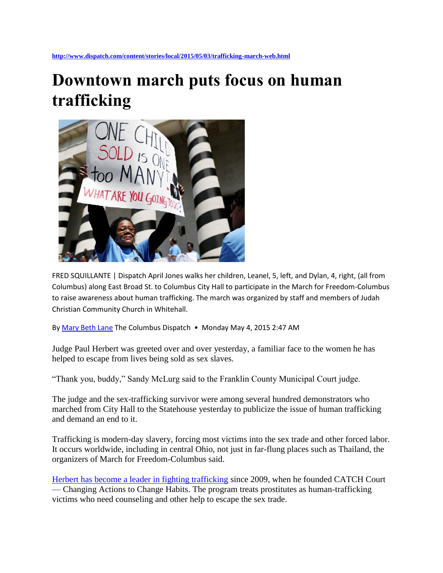## **Downtown march puts focus on human trafficking**



FRED SQUILLANTE | Dispatch April Jones walks her children, Leanel, 5, left, and Dylan, 4, right, (all from Columbus) along East Broad St. to Columbus City Hall to participate in the March for Freedom-Columbus to raise awareness about human trafficking. The march was organized by staff and members of Judah Christian Community Church in Whitehall.

B[y Mary Beth Lane](mailto:mlane@dispatch.com) The Columbus Dispatch • Monday May 4, 2015 2:47 AM

Judge Paul Herbert was greeted over and over yesterday, a familiar face to the women he has helped to escape from lives being sold as sex slaves.

"Thank you, buddy," Sandy McLurg said to the Franklin County Municipal Court judge.

The judge and the sex-trafficking survivor were among several hundred demonstrators who marched from City Hall to the Statehouse yesterday to publicize the issue of human trafficking and demand an end to it.

Trafficking is modern-day slavery, forcing most victims into the sex trade and other forced labor. It occurs worldwide, including in central Ohio, not just in far-flung places such as Thailand, the organizers of March for Freedom-Columbus said.

Herbert has [become a leader in fighting trafficking](http://www.dispatch.com/content/stories/local/2015/01/15/human-trafficking-efforts.html) since 2009, when he founded CATCH Court — Changing Actions to Change Habits. The program treats prostitutes as human-trafficking victims who need counseling and other help to escape the sex trade.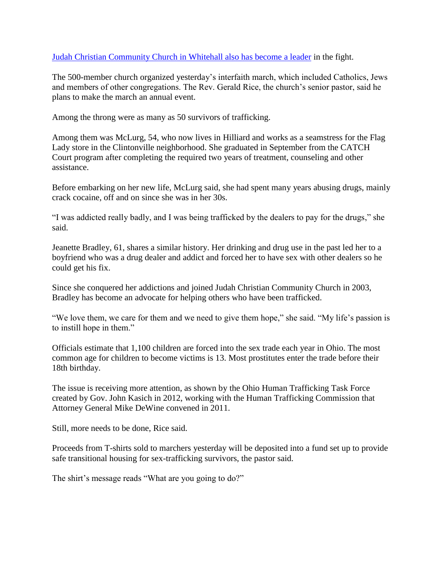[Judah Christian Community Church in Whitehall also has become a leader](http://www.dispatch.com/content/stories/faith_and_values/2015/03/06/human-trafficking-march-answers-a-call-to-action.html) in the fight.

The 500-member church organized yesterday's interfaith march, which included Catholics, Jews and members of other congregations. The Rev. Gerald Rice, the church's senior pastor, said he plans to make the march an annual event.

Among the throng were as many as 50 survivors of trafficking.

Among them was McLurg, 54, who now lives in Hilliard and works as a seamstress for the Flag Lady store in the Clintonville neighborhood. She graduated in September from the CATCH Court program after completing the required two years of treatment, counseling and other assistance.

Before embarking on her new life, McLurg said, she had spent many years abusing drugs, mainly crack cocaine, off and on since she was in her 30s.

"I was addicted really badly, and I was being trafficked by the dealers to pay for the drugs," she said.

Jeanette Bradley, 61, shares a similar history. Her drinking and drug use in the past led her to a boyfriend who was a drug dealer and addict and forced her to have sex with other dealers so he could get his fix.

Since she conquered her addictions and joined Judah Christian Community Church in 2003, Bradley has become an advocate for helping others who have been trafficked.

"We love them, we care for them and we need to give them hope," she said. "My life's passion is to instill hope in them."

Officials estimate that 1,100 children are forced into the sex trade each year in Ohio. The most common age for children to become victims is 13. Most prostitutes enter the trade before their 18th birthday.

The issue is receiving more attention, as shown by the Ohio Human Trafficking Task Force created by Gov. John Kasich in 2012, working with the Human Trafficking Commission that Attorney General Mike DeWine convened in 2011.

Still, more needs to be done, Rice said.

Proceeds from T-shirts sold to marchers yesterday will be deposited into a fund set up to provide safe transitional housing for sex-trafficking survivors, the pastor said.

The shirt's message reads "What are you going to do?"